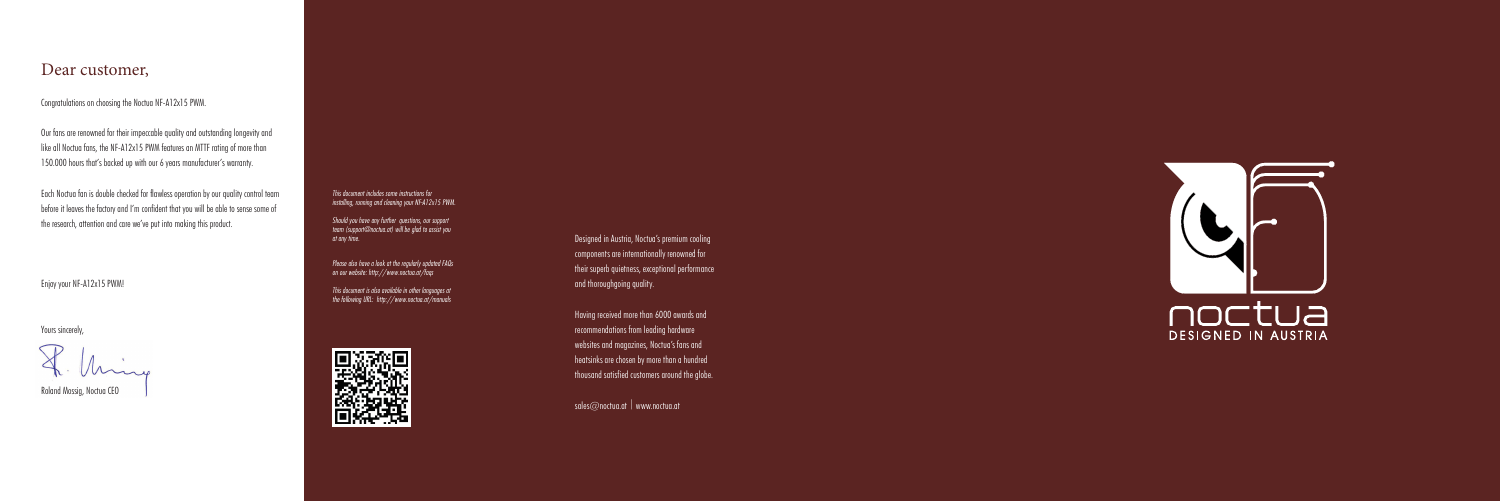Designed in Austria, Noctua's premium cooling components are internationally renowned for their superb quietness, exceptional performance and thoroughgoing quality.

Having received more than 6000 awards and recommendations from leading hardware websites and magazines, Noctua's fans and heatsinks are chosen by more than a hundred thousand satisfied customers around the globe.

sales@noctua.at | www.noctua.at



*This document includes some instructions for installing, running and cleaning your NF-A12x15 PWM.* 

*Should you have any further questions, our support team (support@noctua.at) will be glad to assist you at any time.* 

*Please also have a look at the regularly updated FAQs on our website: http://www.noctua.at/faqs*

*This document is also available in other languages at the following URL: http://www.noctua.at/manuals*



#### Dear customer,

Congratulations on choosing the Noctua NF-A12x15 PWM.

Our fans are renowned for their impeccable quality and outstanding longevity and like all Noctua fans, the NF-A12x15 PWM features an MTTF rating of more than 150.000 hours that's backed up with our 6 years manufacturer's warranty.

Each Noctua fan is double checked for flawless operation by our quality control team before it leaves the factory and I'm confident that you will be able to sense some of the research, attention and care we've put into making this product.

Enjoy your NF-A12x15 PWM!

Yours sincerely,

Roland Mossig, Noctua CEO